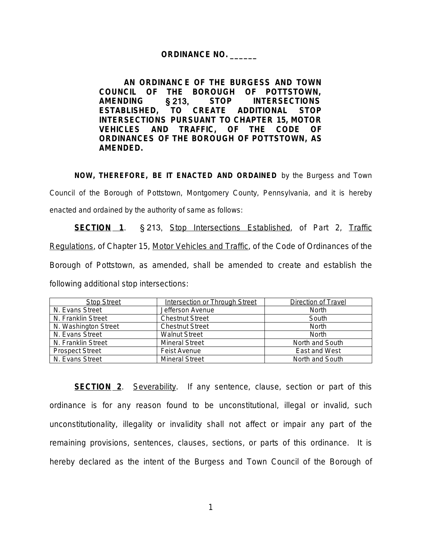## **ORDINANCE NO. \_\_\_\_\_\_**

**AN ORDINANC E OF THE BURGESS AND TOWN COUNCIL OF THE BOROUGH OF POTTSTOWN, AMENDING** § 213, **STOP INTERSECTIONS ESTABLISHED, TO CREATE ADDITIONAL STOP INTERSECTIONS PURSUANT TO CHAPTER 15, MOTOR VEHICLES AND TRAFFIC, OF THE CODE OF ORDINANCES OF THE BOROUGH OF POTTSTOWN, AS AMENDED.** 

**NOW, THEREFORE, BE IT ENACTED AND ORDAINED** by the Burgess and Town Council of the Borough of Pottstown, Montgomery County, Pennsylvania, and it is hereby enacted and ordained by the authority of same as follows:

**SECTION 1.** § 213, Stop Intersections Established, of Part 2, Traffic Regulations, of Chapter 15, Motor Vehicles and Traffic, of the Code of Ordinances of the Borough of Pottstown, as amended, shall be amended to create and establish the following additional stop intersections:

| <b>Stop Street</b>     | Intersection or Through Street | Direction of Travel |
|------------------------|--------------------------------|---------------------|
| N. Evans Street        | Jefferson Avenue               | <b>North</b>        |
| N. Franklin Street     | <b>Chestnut Street</b>         | South               |
| N. Washington Street   | <b>Chestnut Street</b>         | <b>North</b>        |
| N. Evans Street        | <b>Walnut Street</b>           | <b>North</b>        |
| N. Franklin Street     | <b>Mineral Street</b>          | North and South     |
| <b>Prospect Street</b> | Feist Avenue                   | East and West       |
| N. Evans Street        | <b>Mineral Street</b>          | North and South     |

**SECTION 2**. Severability. If any sentence, clause, section or part of this ordinance is for any reason found to be unconstitutional, illegal or invalid, such unconstitutionality, illegality or invalidity shall not affect or impair any part of the remaining provisions, sentences, clauses, sections, or parts of this ordinance. It is hereby declared as the intent of the Burgess and Town Council of the Borough of